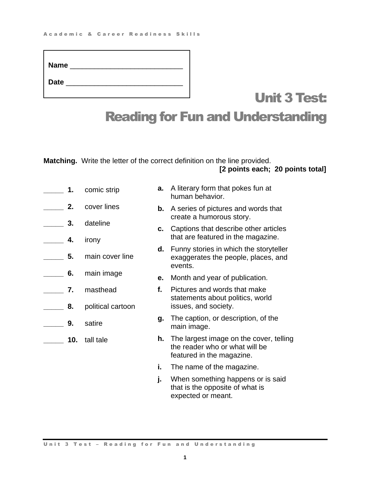| <b>Name</b> |  |
|-------------|--|
| <b>Date</b> |  |

## Unit 3 Test: Reading for Fun and Understanding

**Matching.** Write the letter of the correct definition on the line provided. **[2 points each; 20 points total]**

| 1.       | comic strip                   | а. | A literary form that pokes fun at<br>human behavior.                                                   |
|----------|-------------------------------|----|--------------------------------------------------------------------------------------------------------|
| 2.       | cover lines                   | b. | A series of pictures and words that<br>create a humorous story.                                        |
| 3.<br>4. | dateline<br>irony             | c. | Captions that describe other articles<br>that are featured in the magazine.                            |
| 5.       | main cover line               | d. | Funny stories in which the storyteller<br>exaggerates the people, places, and<br>events.               |
| 6.       | main image                    | е. | Month and year of publication.                                                                         |
| 7.<br>8. | masthead<br>political cartoon | f. | Pictures and words that make<br>statements about politics, world<br>issues, and society.               |
| 9.       | satire                        | g. | The caption, or description, of the<br>main image.                                                     |
| 10.      | tall tale                     | h. | The largest image on the cover, telling<br>the reader who or what will be<br>featured in the magazine. |
|          |                               | i. | The name of the magazine.                                                                              |
|          |                               | j. | When something happens or is said<br>that is the opposite of what is<br>expected or meant.             |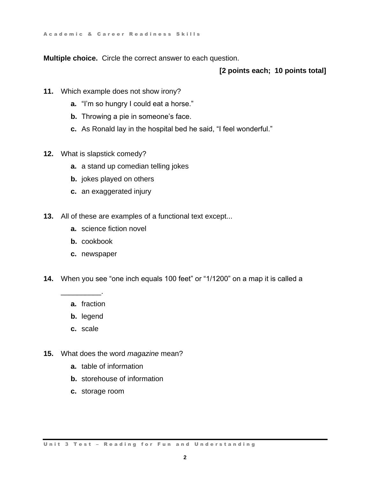A c a d e m i c & C a r e e r R e a d i n e s s S k ills

**Multiple choice.** Circle the correct answer to each question.

## **[2 points each; 10 points total]**

- **11.** Which example does not show irony?
	- **a.** "I'm so hungry I could eat a horse."
	- **b.** Throwing a pie in someone's face.
	- **c.** As Ronald lay in the hospital bed he said, "I feel wonderful."
- **12.** What is slapstick comedy?
	- **a.** a stand up comedian telling jokes
	- **b.** jokes played on others
	- **c.** an exaggerated injury
- **13.** All of these are examples of a functional text except...
	- **a.** science fiction novel
	- **b.** cookbook
	- **c.** newspaper
- **14.** When you see "one inch equals 100 feet" or "1/1200" on a map it is called a
	- **a.** fraction

\_\_\_\_\_\_\_\_\_\_.

- **b.** legend
- **c.** scale
- **15.** What does the word *magazine* mean?
	- **a.** table of information
	- **b.** storehouse of information
	- **c.** storage room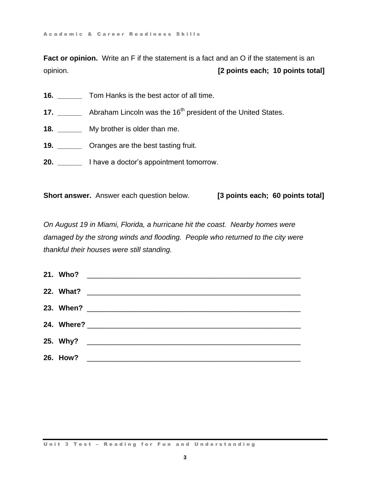**Fact or opinion.** Write an F if the statement is a fact and an O if the statement is an opinion. **[2 points each; 10 points total]**

- **16. \_\_\_\_\_\_** Tom Hanks is the best actor of all time.
- **17.** Abraham Lincoln was the 16<sup>th</sup> president of the United States.
- **18. \_\_\_\_\_\_** My brother is older than me.
- **19. \_\_\_\_\_\_** Oranges are the best tasting fruit.
- **20. \_\_\_\_\_\_** I have a doctor's appointment tomorrow.

**Short answer.** Answer each question below. **[3 points each; 60 points total]**

*On August 19 in Miami, Florida, a hurricane hit the coast. Nearby homes were*  damaged by the strong winds and flooding. People who returned to the city were *thankful their houses were still standing.*

| 26. How? |  |
|----------|--|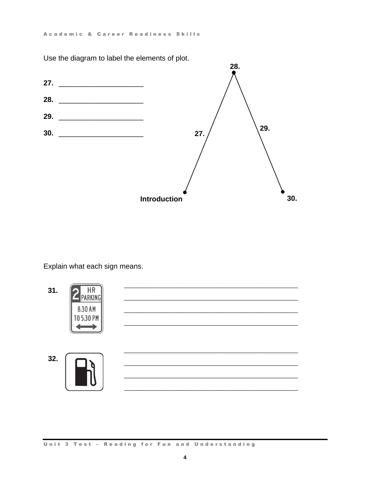Use the diagram to label the elements of plot.



Explain what each sign means.

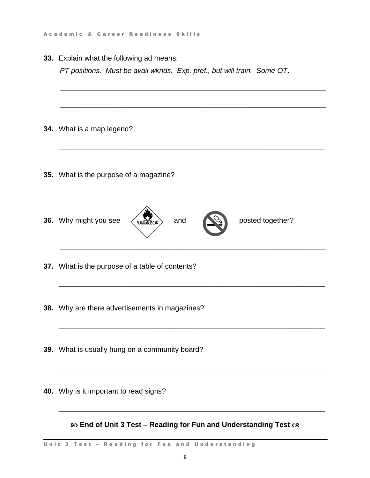**33.** Explain what the following ad means:

*PT positions. Must be avail wknds. Exp. pref., but will train. Some OT*.

\_\_\_\_\_\_\_\_\_\_\_\_\_\_\_\_\_\_\_\_\_\_\_\_\_\_\_\_\_\_\_\_\_\_\_\_\_\_\_\_\_\_\_\_\_\_\_\_\_\_\_\_\_\_\_\_\_\_\_\_\_\_\_\_\_\_ \_\_\_\_\_\_\_\_\_\_\_\_\_\_\_\_\_\_\_\_\_\_\_\_\_\_\_\_\_\_\_\_\_\_\_\_\_\_\_\_\_\_\_\_\_\_\_\_\_\_\_\_\_\_\_\_\_\_\_\_\_\_\_\_\_\_ **34.** What is a map legend? \_\_\_\_\_\_\_\_\_\_\_\_\_\_\_\_\_\_\_\_\_\_\_\_\_\_\_\_\_\_\_\_\_\_\_\_\_\_\_\_\_\_\_\_\_\_\_\_\_\_\_\_\_\_\_\_\_\_\_\_\_\_\_\_\_\_ **35.** What is the purpose of a magazine? \_\_\_\_\_\_\_\_\_\_\_\_\_\_\_\_\_\_\_\_\_\_\_\_\_\_\_\_\_\_\_\_\_\_\_\_\_\_\_\_\_\_\_\_\_\_\_\_\_\_\_\_\_\_\_\_\_\_\_\_\_\_\_\_\_\_ **36.** Why might you see  $\left\langle \sum_{\text{FLAMMAHE GAS}} \right\rangle$  and  $\left\langle \sum_{n=1}^{\infty} \right\rangle$  posted together? \_\_\_\_\_\_\_\_\_\_\_\_\_\_\_\_\_\_\_\_\_\_\_\_\_\_\_\_\_\_\_\_\_\_\_\_\_\_\_\_\_\_\_\_\_\_\_\_\_\_\_\_\_\_\_\_\_\_\_\_\_\_\_\_\_\_ **37.** What is the purpose of a table of contents? \_\_\_\_\_\_\_\_\_\_\_\_\_\_\_\_\_\_\_\_\_\_\_\_\_\_\_\_\_\_\_\_\_\_\_\_\_\_\_\_\_\_\_\_\_\_\_\_\_\_\_\_\_\_\_\_\_\_\_\_\_\_\_\_\_\_ **38.** Why are there advertisements in magazines? \_\_\_\_\_\_\_\_\_\_\_\_\_\_\_\_\_\_\_\_\_\_\_\_\_\_\_\_\_\_\_\_\_\_\_\_\_\_\_\_\_\_\_\_\_\_\_\_\_\_\_\_\_\_\_\_\_\_\_\_\_\_\_\_\_\_ **39.** What is usually hung on a community board? \_\_\_\_\_\_\_\_\_\_\_\_\_\_\_\_\_\_\_\_\_\_\_\_\_\_\_\_\_\_\_\_\_\_\_\_\_\_\_\_\_\_\_\_\_\_\_\_\_\_\_\_\_\_\_\_\_\_\_\_\_\_\_\_\_\_ **40.** Why is it important to read signs? \_\_\_\_\_\_\_\_\_\_\_\_\_\_\_\_\_\_\_\_\_\_\_\_\_\_\_\_\_\_\_\_\_\_\_\_\_\_\_\_\_\_\_\_\_\_\_\_\_\_\_\_\_\_\_\_\_\_\_\_\_\_\_\_\_\_ **End of Unit 3 Test – Reading for Fun and Understanding Test**

Unit 3 Test - Reading for Fun and Understanding